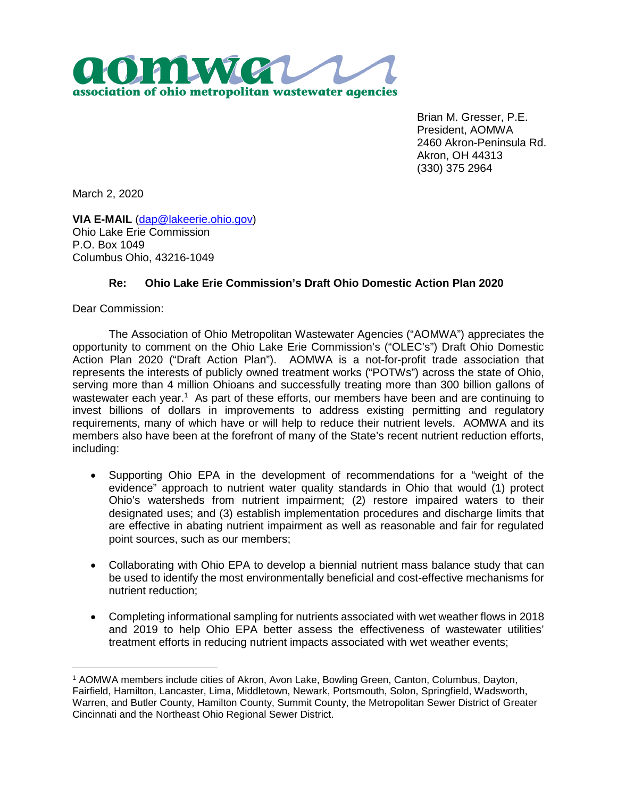

Brian M. Gresser, P.E. President, AOMWA 2460 Akron-Peninsula Rd. Akron, OH 44313 (330) 375 2964

March 2, 2020

**VIA E-MAIL** (dap@lakeerie.ohio.gov) Ohio Lake Erie Commission P.O. Box 1049 Columbus Ohio, 43216-1049

## **Re: Ohio Lake Erie Commission's Draft Ohio Domestic Action Plan 2020**

Dear Commission:

The Association of Ohio Metropolitan Wastewater Agencies ("AOMWA") appreciates the opportunity to comment on the Ohio Lake Erie Commission's ("OLEC's") Draft Ohio Domestic Action Plan 2020 ("Draft Action Plan"). AOMWA is a not-for-profit trade association that represents the interests of publicly owned treatment works ("POTWs") across the state of Ohio, serving more than 4 million Ohioans and successfully treating more than 300 billion gallons of wastewater each year.<sup>1</sup> As part of these efforts, our members have been and are continuing to invest billions of dollars in improvements to address existing permitting and regulatory requirements, many of which have or will help to reduce their nutrient levels. AOMWA and its members also have been at the forefront of many of the State's recent nutrient reduction efforts, including:

- Supporting Ohio EPA in the development of recommendations for a "weight of the evidence" approach to nutrient water quality standards in Ohio that would (1) protect Ohio's watersheds from nutrient impairment; (2) restore impaired waters to their designated uses; and (3) establish implementation procedures and discharge limits that are effective in abating nutrient impairment as well as reasonable and fair for regulated point sources, such as our members;
- Collaborating with Ohio EPA to develop a biennial nutrient mass balance study that can be used to identify the most environmentally beneficial and cost-effective mechanisms for nutrient reduction;
- Completing informational sampling for nutrients associated with wet weather flows in 2018 and 2019 to help Ohio EPA better assess the effectiveness of wastewater utilities' treatment efforts in reducing nutrient impacts associated with wet weather events;

<sup>1</sup> AOMWA members include cities of Akron, Avon Lake, Bowling Green, Canton, Columbus, Dayton, Fairfield, Hamilton, Lancaster, Lima, Middletown, Newark, Portsmouth, Solon, Springfield, Wadsworth, Warren, and Butler County, Hamilton County, Summit County, the Metropolitan Sewer District of Greater Cincinnati and the Northeast Ohio Regional Sewer District.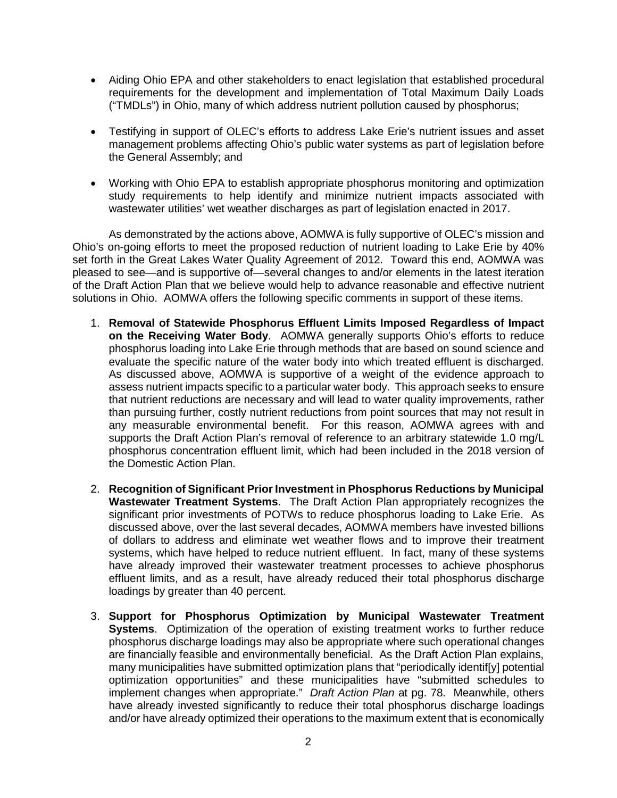- Aiding Ohio EPA and other stakeholders to enact legislation that established procedural requirements for the development and implementation of Total Maximum Daily Loads ("TMDLs") in Ohio, many of which address nutrient pollution caused by phosphorus;
- Testifying in support of OLEC's efforts to address Lake Erie's nutrient issues and asset management problems affecting Ohio's public water systems as part of legislation before the General Assembly; and
- Working with Ohio EPA to establish appropriate phosphorus monitoring and optimization study requirements to help identify and minimize nutrient impacts associated with wastewater utilities' wet weather discharges as part of legislation enacted in 2017.

As demonstrated by the actions above, AOMWA is fully supportive of OLEC's mission and Ohio's on-going efforts to meet the proposed reduction of nutrient loading to Lake Erie by 40% set forth in the Great Lakes Water Quality Agreement of 2012. Toward this end, AOMWA was pleased to see—and is supportive of—several changes to and/or elements in the latest iteration of the Draft Action Plan that we believe would help to advance reasonable and effective nutrient solutions in Ohio. AOMWA offers the following specific comments in support of these items.

- 1. **Removal of Statewide Phosphorus Effluent Limits Imposed Regardless of Impact on the Receiving Water Body**. AOMWA generally supports Ohio's efforts to reduce phosphorus loading into Lake Erie through methods that are based on sound science and evaluate the specific nature of the water body into which treated effluent is discharged. As discussed above, AOMWA is supportive of a weight of the evidence approach to assess nutrient impacts specific to a particular water body. This approach seeks to ensure that nutrient reductions are necessary and will lead to water quality improvements, rather than pursuing further, costly nutrient reductions from point sources that may not result in any measurable environmental benefit. For this reason, AOMWA agrees with and supports the Draft Action Plan's removal of reference to an arbitrary statewide 1.0 mg/L phosphorus concentration effluent limit, which had been included in the 2018 version of the Domestic Action Plan.
- 2. **Recognition of Significant Prior Investment in Phosphorus Reductions by Municipal Wastewater Treatment Systems**. The Draft Action Plan appropriately recognizes the significant prior investments of POTWs to reduce phosphorus loading to Lake Erie. As discussed above, over the last several decades, AOMWA members have invested billions of dollars to address and eliminate wet weather flows and to improve their treatment systems, which have helped to reduce nutrient effluent. In fact, many of these systems have already improved their wastewater treatment processes to achieve phosphorus effluent limits, and as a result, have already reduced their total phosphorus discharge loadings by greater than 40 percent.
- 3. **Support for Phosphorus Optimization by Municipal Wastewater Treatment Systems**. Optimization of the operation of existing treatment works to further reduce phosphorus discharge loadings may also be appropriate where such operational changes are financially feasible and environmentally beneficial. As the Draft Action Plan explains, many municipalities have submitted optimization plans that "periodically identif[y] potential optimization opportunities" and these municipalities have "submitted schedules to implement changes when appropriate." *Draft Action Plan* at pg. 78. Meanwhile, others have already invested significantly to reduce their total phosphorus discharge loadings and/or have already optimized their operations to the maximum extent that is economically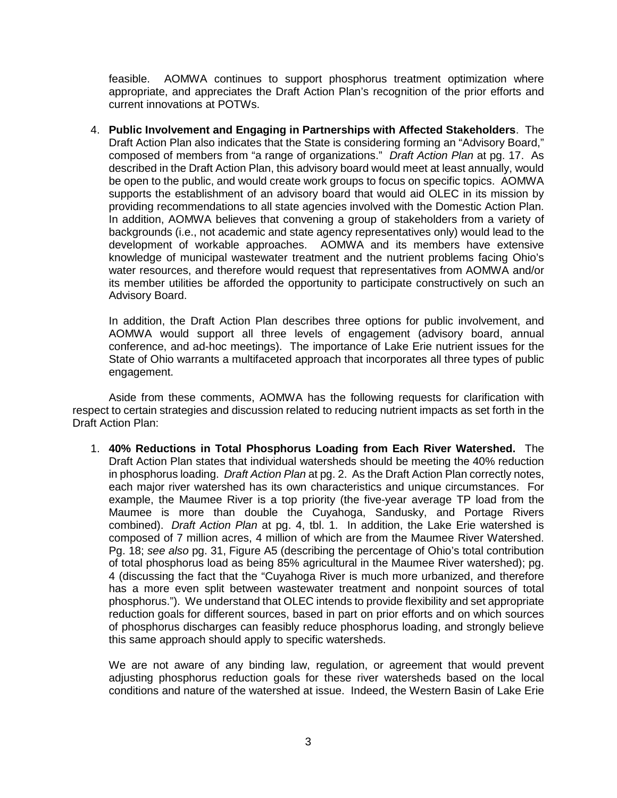feasible. AOMWA continues to support phosphorus treatment optimization where appropriate, and appreciates the Draft Action Plan's recognition of the prior efforts and current innovations at POTWs.

4. **Public Involvement and Engaging in Partnerships with Affected Stakeholders**. The Draft Action Plan also indicates that the State is considering forming an "Advisory Board," composed of members from "a range of organizations." *Draft Action Plan* at pg. 17. As described in the Draft Action Plan, this advisory board would meet at least annually, would be open to the public, and would create work groups to focus on specific topics. AOMWA supports the establishment of an advisory board that would aid OLEC in its mission by providing recommendations to all state agencies involved with the Domestic Action Plan. In addition, AOMWA believes that convening a group of stakeholders from a variety of backgrounds (i.e., not academic and state agency representatives only) would lead to the development of workable approaches. AOMWA and its members have extensive knowledge of municipal wastewater treatment and the nutrient problems facing Ohio's water resources, and therefore would request that representatives from AOMWA and/or its member utilities be afforded the opportunity to participate constructively on such an Advisory Board.

In addition, the Draft Action Plan describes three options for public involvement, and AOMWA would support all three levels of engagement (advisory board, annual conference, and ad-hoc meetings). The importance of Lake Erie nutrient issues for the State of Ohio warrants a multifaceted approach that incorporates all three types of public engagement.

Aside from these comments, AOMWA has the following requests for clarification with respect to certain strategies and discussion related to reducing nutrient impacts as set forth in the Draft Action Plan:

1. **40% Reductions in Total Phosphorus Loading from Each River Watershed.** The Draft Action Plan states that individual watersheds should be meeting the 40% reduction in phosphorus loading. *Draft Action Plan* at pg. 2. As the Draft Action Plan correctly notes, each major river watershed has its own characteristics and unique circumstances. For example, the Maumee River is a top priority (the five-year average TP load from the Maumee is more than double the Cuyahoga, Sandusky, and Portage Rivers combined). *Draft Action Plan* at pg. 4, tbl. 1. In addition, the Lake Erie watershed is composed of 7 million acres, 4 million of which are from the Maumee River Watershed. Pg. 18; *see also* pg. 31, Figure A5 (describing the percentage of Ohio's total contribution of total phosphorus load as being 85% agricultural in the Maumee River watershed); pg. 4 (discussing the fact that the "Cuyahoga River is much more urbanized, and therefore has a more even split between wastewater treatment and nonpoint sources of total phosphorus."). We understand that OLEC intends to provide flexibility and set appropriate reduction goals for different sources, based in part on prior efforts and on which sources of phosphorus discharges can feasibly reduce phosphorus loading, and strongly believe this same approach should apply to specific watersheds.

We are not aware of any binding law, regulation, or agreement that would prevent adjusting phosphorus reduction goals for these river watersheds based on the local conditions and nature of the watershed at issue. Indeed, the Western Basin of Lake Erie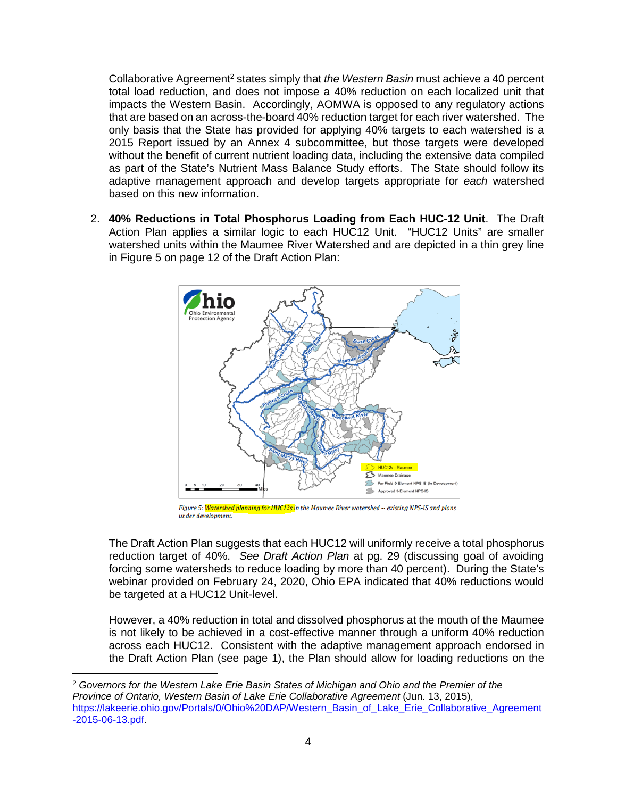Collaborative Agreement<sup>2</sup> states simply that *the Western Basin* must achieve a 40 percent total load reduction, and does not impose a 40% reduction on each localized unit that impacts the Western Basin. Accordingly, AOMWA is opposed to any regulatory actions that are based on an across-the-board 40% reduction target for each river watershed. The only basis that the State has provided for applying 40% targets to each watershed is a 2015 Report issued by an Annex 4 subcommittee, but those targets were developed without the benefit of current nutrient loading data, including the extensive data compiled as part of the State's Nutrient Mass Balance Study efforts. The State should follow its adaptive management approach and develop targets appropriate for *each* watershed based on this new information.

2. **40% Reductions in Total Phosphorus Loading from Each HUC-12 Unit**. The Draft Action Plan applies a similar logic to each HUC12 Unit. "HUC12 Units" are smaller watershed units within the Maumee River Watershed and are depicted in a thin grey line in Figure 5 on page 12 of the Draft Action Plan:



Figure 5: <mark>Watershed planning for HUC12s i</mark>n the Maumee River watershed -- existing NPS-IS and plans under development.

The Draft Action Plan suggests that each HUC12 will uniformly receive a total phosphorus reduction target of 40%. *See Draft Action Plan* at pg. 29 (discussing goal of avoiding forcing some watersheds to reduce loading by more than 40 percent). During the State's webinar provided on February 24, 2020, Ohio EPA indicated that 40% reductions would be targeted at a HUC12 Unit-level.

However, a 40% reduction in total and dissolved phosphorus at the mouth of the Maumee is not likely to be achieved in a cost-effective manner through a uniform 40% reduction across each HUC12. Consistent with the adaptive management approach endorsed in the Draft Action Plan (see page 1), the Plan should allow for loading reductions on the

<sup>2</sup> *Governors for the Western Lake Erie Basin States of Michigan and Ohio and the Premier of the Province of Ontario, Western Basin of Lake Erie Collaborative Agreement* (Jun. 13, 2015), https://lakeerie.ohio.gov/Portals/0/Ohio%20DAP/Western\_Basin\_of\_Lake\_Erie\_Collaborative\_Agreement -2015-06-13.pdf.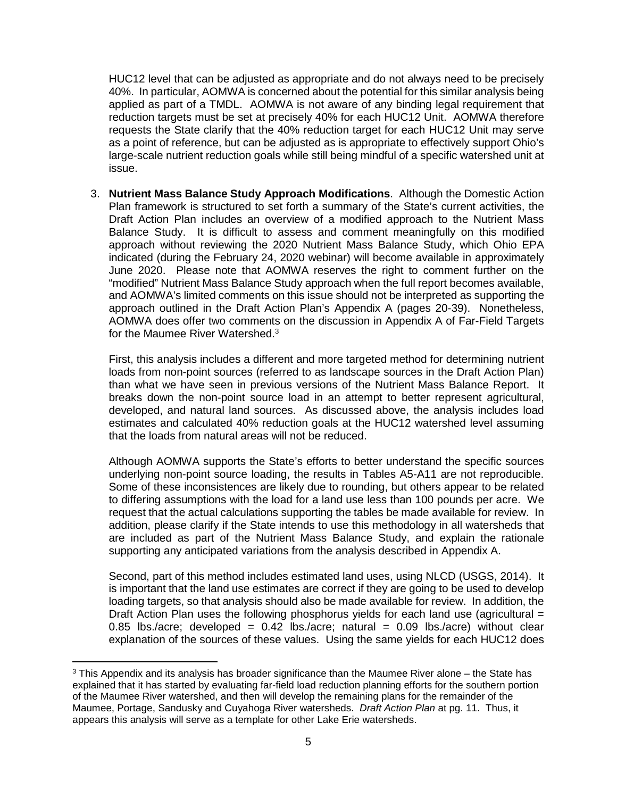HUC12 level that can be adjusted as appropriate and do not always need to be precisely 40%. In particular, AOMWA is concerned about the potential for this similar analysis being applied as part of a TMDL. AOMWA is not aware of any binding legal requirement that reduction targets must be set at precisely 40% for each HUC12 Unit. AOMWA therefore requests the State clarify that the 40% reduction target for each HUC12 Unit may serve as a point of reference, but can be adjusted as is appropriate to effectively support Ohio's large-scale nutrient reduction goals while still being mindful of a specific watershed unit at issue.

3. **Nutrient Mass Balance Study Approach Modifications**. Although the Domestic Action Plan framework is structured to set forth a summary of the State's current activities, the Draft Action Plan includes an overview of a modified approach to the Nutrient Mass Balance Study. It is difficult to assess and comment meaningfully on this modified approach without reviewing the 2020 Nutrient Mass Balance Study, which Ohio EPA indicated (during the February 24, 2020 webinar) will become available in approximately June 2020. Please note that AOMWA reserves the right to comment further on the "modified" Nutrient Mass Balance Study approach when the full report becomes available, and AOMWA's limited comments on this issue should not be interpreted as supporting the approach outlined in the Draft Action Plan's Appendix A (pages 20-39). Nonetheless, AOMWA does offer two comments on the discussion in Appendix A of Far-Field Targets for the Maumee River Watershed.<sup>3</sup>

First, this analysis includes a different and more targeted method for determining nutrient loads from non-point sources (referred to as landscape sources in the Draft Action Plan) than what we have seen in previous versions of the Nutrient Mass Balance Report. It breaks down the non-point source load in an attempt to better represent agricultural, developed, and natural land sources. As discussed above, the analysis includes load estimates and calculated 40% reduction goals at the HUC12 watershed level assuming that the loads from natural areas will not be reduced.

Although AOMWA supports the State's efforts to better understand the specific sources underlying non-point source loading, the results in Tables A5-A11 are not reproducible. Some of these inconsistences are likely due to rounding, but others appear to be related to differing assumptions with the load for a land use less than 100 pounds per acre. We request that the actual calculations supporting the tables be made available for review. In addition, please clarify if the State intends to use this methodology in all watersheds that are included as part of the Nutrient Mass Balance Study, and explain the rationale supporting any anticipated variations from the analysis described in Appendix A.

Second, part of this method includes estimated land uses, using NLCD (USGS, 2014). It is important that the land use estimates are correct if they are going to be used to develop loading targets, so that analysis should also be made available for review. In addition, the Draft Action Plan uses the following phosphorus yields for each land use (agricultural  $=$ 0.85 lbs./acre; developed =  $0.42$  lbs./acre; natural =  $0.09$  lbs./acre) without clear explanation of the sources of these values. Using the same yields for each HUC12 does

 $3$  This Appendix and its analysis has broader significance than the Maumee River alone – the State has explained that it has started by evaluating far-field load reduction planning efforts for the southern portion of the Maumee River watershed, and then will develop the remaining plans for the remainder of the Maumee, Portage, Sandusky and Cuyahoga River watersheds. *Draft Action Plan* at pg. 11. Thus, it appears this analysis will serve as a template for other Lake Erie watersheds.